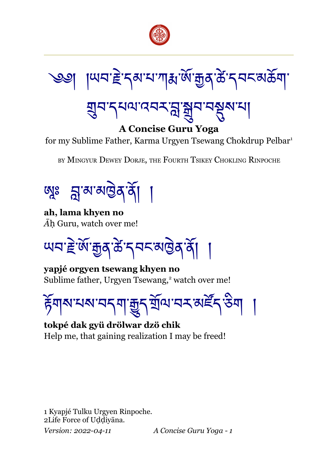

্ঞা ।ਘব'ॾॆ'ন্ঝ'থ'শা্ধ্য'র্জ'ক্ক্রুস্ক'ন্ননম্ভর্ক্সা'

གྲུབ་དཔལ་འབར་བླ་སྒྲུབ་བསྡུས་པ།

# **A Concise Guru Yoga**

for my Sublime Father, Karma Urgyen Tsewang Chokdrup Pelbar<sup>[1](#page-0-0)</sup>

BY MINGYUR DEWEY DORJE, THE FOURTH TSIKEY CHOKLING RINPOCHE



**ah, lama khyen no** *Ā*ḥ Guru, watch over me!

<u>౻বাইউদ্</u>জেক্ট্ৰেক্ট'ব্ৰহমট্টৰ'ৰ্ষ্

**yapjé orgyen tsewang khyen no** Sublime father, Urgyen Tsewang,<sup>[2](#page-0-1)</sup> watch over me!

हॅमाब्गद्यबाद्यज्ञा । इन्द्राज्ञा स्थान स्थानको अपना स्थानको अपना स्थानको अपना स्थानको अपना स्थानको अपना स्था

**tokpé dak gyü drölwar dzö chik** Help me, that gaining realization I may be freed!

<span id="page-0-1"></span><span id="page-0-0"></span>1 Kyapjé Tulku Urgyen Rinpoche. 2Life Force of Uddiyana. *Version: 2022-04-11 A Concise Guru Yoga - 1*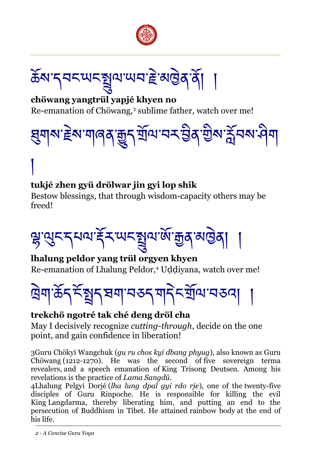



# **chöwang yangtrül yapjé khyen no** Re-emanation of Chöwang,<sup>[3](#page-1-0)</sup> sublime father, watch over me!



# **tukjé zhen gyü drölwar jin gyi lop shik**

།

Bestow blessings, that through wisdom-capacity others may be freed!

# <u>ৠ</u>ॱঀৢ৲ৼঀয়৾ৼ৾য়ড়৸ৼয়ৄয়ৼড়৻য়ড়ড়য়ৗ

#### **lhalung peldor yang trül orgyen khyen**

Re-emanation of Lhalung Peldor,<sup>[4](#page-1-1)</sup> Uddiyana, watch over me!



#### **trekchö ngotré tak ché deng dröl cha**

May I decisively recognize *cutting-through*, decide on the one point, and gain confidence in liberation!

<span id="page-1-0"></span>3Guru Chökyi Wangchuk (*gu ru chos kyi dbang phyug*), also known as Guru Chöwang (1212-1270). He was the second of five sovereign terma revealers, and a speech emanation of King Trisong Deutsen. Among his revelations is the practice of *Lama Sangdü*.

<span id="page-1-1"></span>4Lhalung Pelgyi Dorjé (*lha lung dpal gyi rdo rje*), one of the twenty-five disciples of Guru Rinpoche. He is responsible for killing the evil King Langdarma, thereby liberating him, and putting an end to the persecution of Buddhism in Tibet. He attained rainbow body at the end of his life.

*2 - A Concise Guru Yoga*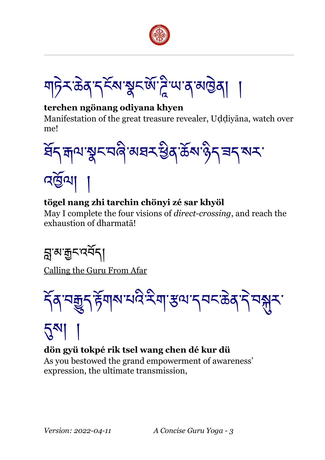



#### **terchen ngönang odiyana khyen**

Manifestation of the great treasure revealer, Uddiyana, watch over me!



# **tögel nang zhi tarchin chönyi zé sar khyöl**

May I complete the four visions of *direct-crossing*, and reach the exhaustion of dharmatā!

ন্ন'ম'ক্কুহ্নই্বা

Calling the Guru From Afar

<u></u>ঽ৾ঀৼড়৸ৼৄৼ৻ৼ৸ৼ৸ৼ৸ৼ৸ৼ৸ৼ৸ৼ৸ৼ৸ৼ৸ৼ৸ৼ

# $5^{\text{N}}$

## **dön gyü tokpé rik tsel wang chen dé kur dü**

As you bestowed the grand empowerment of awareness' expression, the ultimate transmission,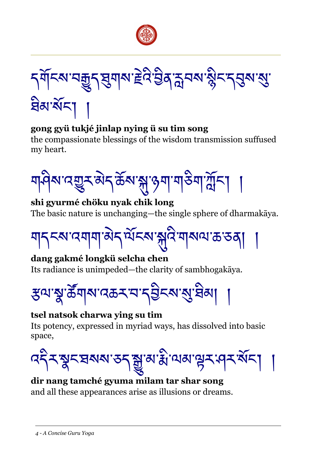

དགོངས་བརྒྱུད་ཐུགས་རྗེའི་བྱིན་རབས་སྙིང་དབུས་སུ་

ষ্টিম'ৰ্মনা

## **gong gyü tukjé jinlap nying ü su tim song**

the compassionate blessings of the wisdom transmission suffused my heart.



## **shi gyurmé chöku nyak chik long** The basic nature is unchanging—the single sphere of dharmakāya.



# **dang gakmé longkü selcha chen**

Its radiance is unimpeded—the clarity of sambhogakāya.

རྩལ་སྣ་ཚནོགས་འཆར་བ་དབྱིངས་སུ་ཐིམ། །

#### **tsel natsok charwa ying su tim**

Its potency, expressed in myriad ways, has dissolved into basic space,

$$
75/7
$$

#### **dir nang tamché gyuma milam tar shar song** and all these appearances arise as illusions or dreams.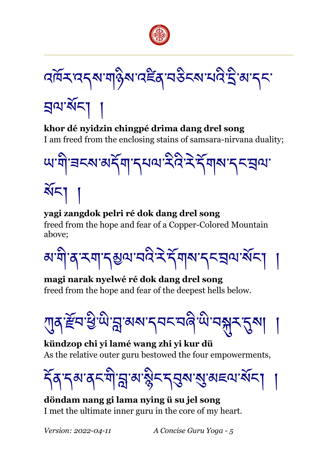

বৰ্ষিম অনুষ্যাত্মীয় অস্টিক অভিনেতা বিদ্ৰোপন কৰা

ঘলাগ্রহা

#### **khor dé nyidzin chingpé drima dang drel song**

I am freed from the enclosing stains of samsara-nirvana duality;



#### **yagi zangdok pelri ré dok dang drel song**

freed from the hope and fear of a Copper-Colored Mountain above;

མ་ঘী་ན་རག་དསྱལ་བའི་རེ་དོགས་དངབྲལ་སོང།

#### **magi narak nyelwé ré dok dang drel song** freed from the hope and fear of the deepest hells below.

ཀུན་རནོབ་ཕྱི་ཡི་བླ་མས་དབང་བཞི་ཡི་བསྐུར་དུས། །

**kündzop chi yi lamé wang zhi yi kur dü** As the relative outer guru bestowed the four empowerments,



**döndam nang gi lama nying ü su jel song** I met the ultimate inner guru in the core of my heart.

*Version: 2022-04-11 A Concise Guru Yoga - 5*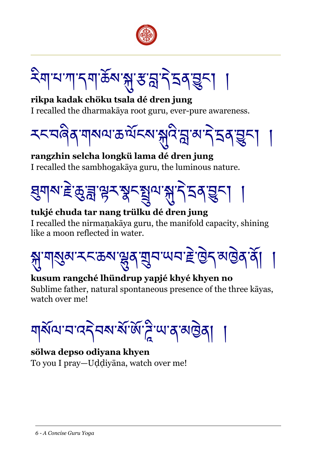

<u>ୖ</u>ୖଽ୩୕୳୴ଽ୩ୖଌ୕ଵ୕୴ୠ୕ଌ୕ଌୗଽୡ୕୕ଌୗ

**rikpa kadak chöku tsala dé dren jung** I recalled the dharmakāya root guru, ever-pure awareness.



**rangzhin selcha longkü lama dé dren jung** I recalled the sambhogakāya guru, the luminous nature.

# য়ৢয়য়ৼ৾ড়ৢড়ৢড়ৼড়৻ৼয়৸ড়৻ৼ৻ড়৻য়৻ৼ৻ড়৻৸

# **tukjé chuda tar nang trülku dé dren jung**

I recalled the nirmanakāya guru, the manifold capacity, shining like a moon reflected in water.



# **kusum rangché lhündrup yapjé khyé khyen no**

Sublime father, natural spontaneous presence of the three kāyas, watch over me!

য়ঝঁথ'ন'বৰ্ণনম'ৰ্ম'ঞ্জ'ৈ খ'ৰ'ৰাট্টক

#### **sölwa depso odiyana khyen**

To you I pray—Uddiyāna, watch over me!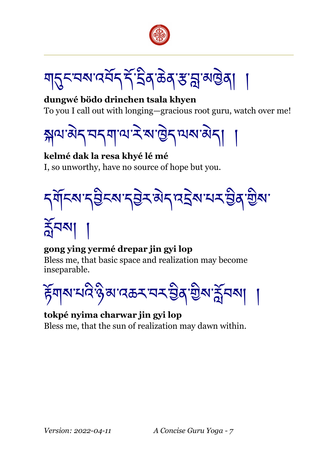

য়্য্রুম্মমান্দ্রির্দ্বিক্টির্সম্ভার্মী

**dungwé bödo drinchen tsala khyen** To you I call out with longing—gracious root guru, watch over me!



**kelmé dak la resa khyé lé mé** I, so unworthy, have no source of hope but you.



# རནོབས། །

# **gong ying yermé drepar jin gyi lop**

Bless me, that basic space and realization may become inseparable.



**tokpé nyima charwar jin gyi lop** Bless me, that the sun of realization may dawn within.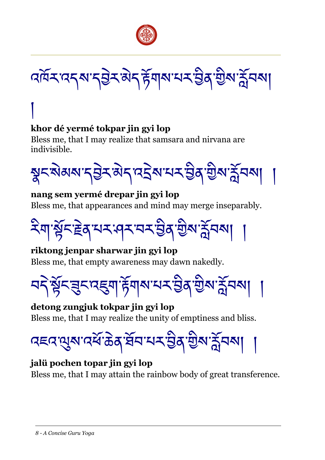

<u>বর্</u>দ্রিস্বের্ম্বাইস্ট্রম্বর্ট ইন্স্নাইস্কার্ট সম্প্রাইন্ডি

#### **khor dé yermé tokpar jin gyi lop**

།

Bless me, that I may realize that samsara and nirvana are indivisible.



**nang sem yermé drepar jin gyi lop** Bless me, that appearances and mind may merge inseparably.



**riktong jenpar sharwar jin gyi lop** Bless me, that empty awareness may dawn nakedly.

<u>ব্দ শ্লুঁ</u>দ্ভ্ৰূদ্দেহ্ৰূণাৰ্দ্ধশৰ্মস্ত্ৰীৰ ভূম ক্লুব্ৰু

**detong zungjuk tokpar jin gyi lop** Bless me, that I may realize the unity of emptiness and bliss.

ব≅নম্মুৰানৰ্শক্তির ৰ্ষনামন ট্রিবা শ্রীৰার্শ্বনৰা

#### **jalü pochen topar jin gyi lop**

Bless me, that I may attain the rainbow body of great transference.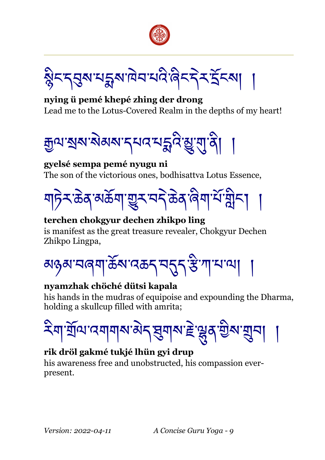



**nying ü pemé khepé zhing der drong** Lead me to the Lotus-Covered Realm in the depths of my heart!



#### **gyelsé sempa pemé nyugu ni**

The son of the victorious ones, bodhisattva Lotus Essence,



#### **terchen chokgyur dechen zhikpo ling**

is manifest as the great treasure revealer, Chokgyur Dechen Zhikpo Lingpa,

<u>য়ঽ৶ৼয়ড়য়৾ড়৻ৼড়ৼ৸ৼ৻ৼ৻ৼ</u>৸

## **nyamzhak chöché dütsi kapala**

his hands in the mudras of equipoise and expounding the Dharma, holding a skullcup filled with amrita;



## **rik dröl gakmé tukjé lhün gyi drup**

his awareness free and unobstructed, his compassion everpresent.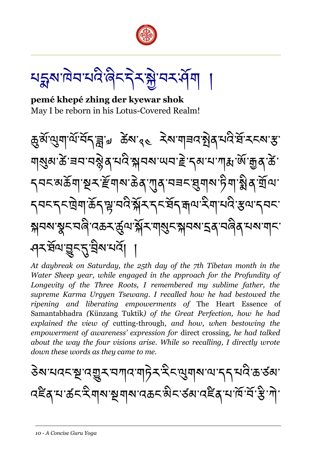

৸ৢয়য়৾ঢ়ঽড়৾৸ৼ৸ঢ়৸৸৸৸৸৸৸৸৸৸৸৸

**pemé khepé zhing der kyewar shok** May I be reborn in his Lotus-Covered Realm!

கुबॅग्थुषार्थे मॅद<sub>ोल्ले अध्यक्षर केला बन्ने केला अधिकारी अधिकारी अधिकारी अधिकारी स्वयं स्वयं स्वयं स्वयं स्</sub> གསུམ་ཚེ་ཟབ་བསྙེན་པའི་སྐབས་ཡབ་རྗེ་དམ་པ་ཀརྨ་ཨོ་རྒྱན་ཚེ་ དབང་མཆོག་སྔར་རནོགས་ཆེན་ཀུན་བཟང་ཐུགས་ཏིག་སྨིན་གྲོལ་ <u> </u><br>ॸॺऽऽऽऐबाॱर्केन् भ्रुॱबदेॱभ्रॅऽऽऽर्भ्रत्भाषादे बाद्यदे सुष्यान्य ৠনম'ৠ৲মজী'বক্তম'্কুঅ'ৠমসামুহ'ৠনম'হৰ'ন্পৰ মান' ঀয়র্ষণার্হুন্দু খ্রিষ্মবা

*At daybreak on Saturday, the 25th day of the 7th Tibetan month in the Water Sheep year, while engaged in the approach for the Profundity of Longevity of the Three Roots, I remembered my sublime father, the supreme Karma Urgyen Tsewang. I recalled how he had bestowed the ripening and liberating empowerments of* The Heart Essence of Samantabhadra *(*Künzang Tuktik*) of the Great Perfection, how he had explained the view of* cutting-through*, and how, when bestowing the empowerment of awareness' expression for* direct crossing*, he had talked about the way the four visions arise. While so recalling, I directly wrote down these words as they came to me.*

ཅེས་པའང་སྔ་འགྱུར་བཀའ་གཏེར་རིང་ལུགས་ལ་དད་པའི་ཆ་ཙམ་ ব≅ঁৰ ঘ'ৰ্ক্ষইশৰাসমূলৰ প্ৰাৰম্পত কৰা বুইৰ ঘ'ৰ্ষি বুই' শী